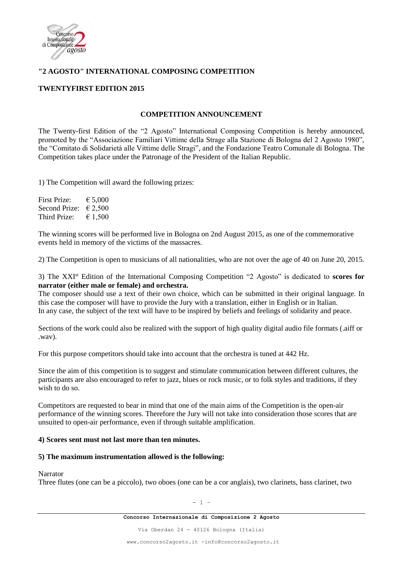

# **"2 AGOSTO" INTERNATIONAL COMPOSING COMPETITION**

## **TWENTYFIRST EDITION 2015**

## **COMPETITION ANNOUNCEMENT**

The Twenty-first Edition of the "2 Agosto" International Composing Competition is hereby announced, promoted by the "Associazione Familiari Vittime della Strage alla Stazione di Bologna del 2 Agosto 1980", the "Comitato di Solidarietà alle Vittime delle Stragi", and the Fondazione Teatro Comunale di Bologna. The Competition takes place under the Patronage of the President of the Italian Republic.

1) The Competition will award the following prizes:

First Prize:  $\epsilon$  5.000 Second Prize:  $\epsilon$  2,500 Third Prize:  $\epsilon$  1,500

The winning scores will be performed live in Bologna on 2nd August 2015, as one of the commemorative events held in memory of the victims of the massacres.

2) The Competition is open to musicians of all nationalities, who are not over the age of 40 on June 20, 2015.

3) The XXIst Edition of the International Composing Competition "2 Agosto" is dedicated to **scores for narrator (either male or female) and orchestra.**

The composer should use a text of their own choice, which can be submitted in their original language. In this case the composer will have to provide the Jury with a translation, either in English or in Italian. In any case, the subject of the text will have to be inspired by beliefs and feelings of solidarity and peace.

Sections of the work could also be realized with the support of high quality digital audio file formats (.aiff or .wav).

For this purpose competitors should take into account that the orchestra is tuned at 442 Hz.

Since the aim of this competition is to suggest and stimulate communication between different cultures, the participants are also encouraged to refer to jazz, blues or rock music, or to folk styles and traditions, if they wish to do so.

Competitors are requested to bear in mind that one of the main aims of the Competition is the open-air performance of the winning scores. Therefore the Jury will not take into consideration those scores that are unsuited to open-air performance, even if through suitable amplification.

### **4) Scores sent must not last more than ten minutes.**

### **5) The maximum instrumentation allowed is the following:**

Narrator

Three flutes (one can be a piccolo), two oboes (one can be a cor anglais), two clarinets, bass clarinet, two

 $- 1 -$ 

Via Oberdan 24 - 40126 Bologna (Italia)